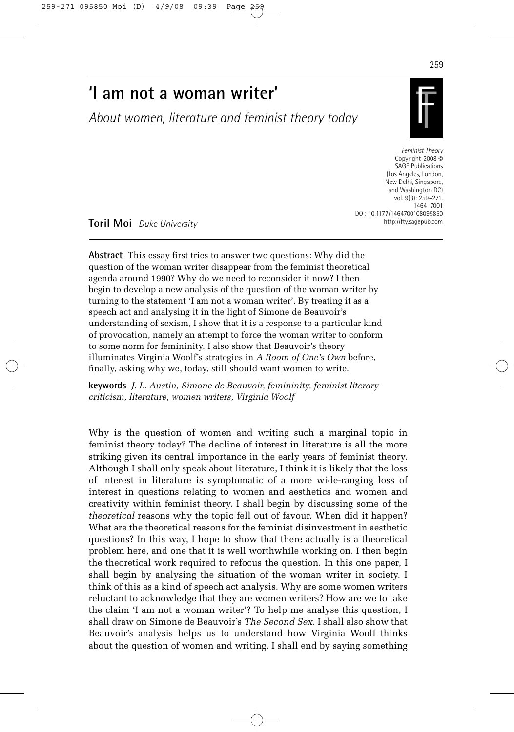# **'I am not a woman writer'**

About women, literature and feminist theory today



*Feminist Theory* **SAGE Publications** (Los Angeles, London, New Delhi, Singapore, and Washington DC) vol. 9(3): 259–271. 1464–7001 DOI: 10.1177/1464700108095850 http://fty.sagepub.com

**Toril Moi** *Duke University*

**Abstract** This essay first tries to answer two questions: Why did the question of the woman writer disappear from the feminist theoretical agenda around 1990? Why do we need to reconsider it now? I then begin to develop a new analysis of the question of the woman writer by turning to the statement 'I am not a woman writer'. By treating it as a speech act and analysing it in the light of Simone de Beauvoir's understanding of sexism, I show that it is a response to a particular kind of provocation, namely an attempt to force the woman writer to conform to some norm for femininity. I also show that Beauvoir's theory illuminates Virginia Woolf's strategies in *A Room of One's Own* before, finally, asking why we, today, still should want women to write.

**keywords** *J. L. Austin, Simone de Beauvoir, femininity, feminist literary criticism, literature, women writers, Virginia Woolf*

Why is the question of women and writing such a marginal topic in feminist theory today? The decline of interest in literature is all the more striking given its central importance in the early years of feminist theory. Although I shall only speak about literature, I think it is likely that the loss of interest in literature is symptomatic of a more wide-ranging loss of interest in questions relating to women and aesthetics and women and creativity within feminist theory. I shall begin by discussing some of the *theoretical* reasons why the topic fell out of favour. When did it happen? What are the theoretical reasons for the feminist disinvestment in aesthetic questions? In this way, I hope to show that there actually is a theoretical problem here, and one that it is well worthwhile working on. I then begin the theoretical work required to refocus the question. In this one paper, I shall begin by analysing the situation of the woman writer in society. I think of this as a kind of speech act analysis. Why are some women writers reluctant to acknowledge that they are women writers? How are we to take the claim 'I am not a woman writer'? To help me analyse this question, I shall draw on Simone de Beauvoir's *The Second Sex*. I shall also show that Beauvoir's analysis helps us to understand how Virginia Woolf thinks about the question of women and writing. I shall end by saying something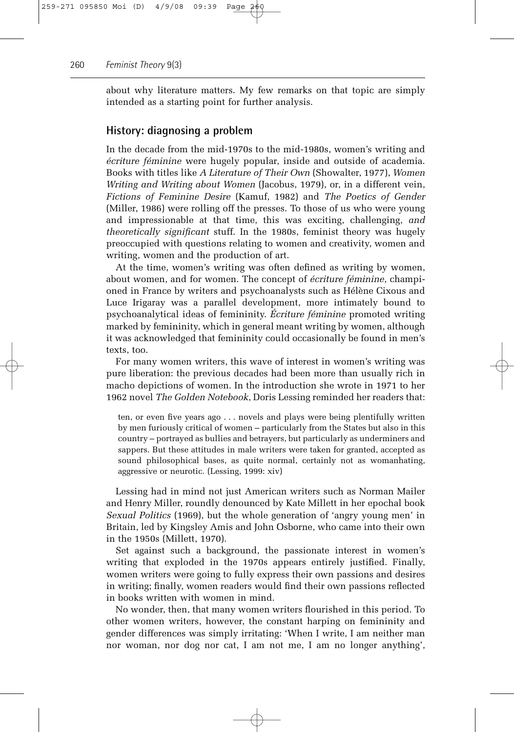about why literature matters. My few remarks on that topic are simply intended as a starting point for further analysis.

#### **History: diagnosing a problem**

In the decade from the mid-1970s to the mid-1980s, women's writing and *écriture féminine* were hugely popular, inside and outside of academia. Books with titles like *A Literature of Their Own* (Showalter, 1977), *Women Writing and Writing about Women* (Jacobus, 1979), or, in a different vein, *Fictions of Feminine Desire* (Kamuf, 1982) and *The Poetics of Gender* (Miller, 1986) were rolling off the presses. To those of us who were young and impressionable at that time, this was exciting, challenging, *and theoretically significant* stuff. In the 1980s, feminist theory was hugely preoccupied with questions relating to women and creativity, women and writing, women and the production of art.

At the time, women's writing was often defined as writing by women, about women, and for women. The concept of *écriture féminine*, championed in France by writers and psychoanalysts such as Hélène Cixous and Luce Irigaray was a parallel development, more intimately bound to psychoanalytical ideas of femininity. *Écriture féminine* promoted writing marked by femininity, which in general meant writing by women, although it was acknowledged that femininity could occasionally be found in men's texts, too.

For many women writers, this wave of interest in women's writing was pure liberation: the previous decades had been more than usually rich in macho depictions of women. In the introduction she wrote in 1971 to her 1962 novel *The Golden Notebook*, Doris Lessing reminded her readers that:

ten, or even five years ago . . . novels and plays were being plentifully written by men furiously critical of women – particularly from the States but also in this country – portrayed as bullies and betrayers, but particularly as underminers and sappers. But these attitudes in male writers were taken for granted, accepted as sound philosophical bases, as quite normal, certainly not as womanhating, aggressive or neurotic. (Lessing, 1999: xiv)

Lessing had in mind not just American writers such as Norman Mailer and Henry Miller, roundly denounced by Kate Millett in her epochal book *Sexual Politics* (1969), but the whole generation of 'angry young men' in Britain, led by Kingsley Amis and John Osborne, who came into their own in the 1950s (Millett, 1970).

Set against such a background, the passionate interest in women's writing that exploded in the 1970s appears entirely justified. Finally, women writers were going to fully express their own passions and desires in writing; finally, women readers would find their own passions reflected in books written with women in mind.

No wonder, then, that many women writers flourished in this period. To other women writers, however, the constant harping on femininity and gender differences was simply irritating: 'When I write, I am neither man nor woman, nor dog nor cat, I am not me, I am no longer anything',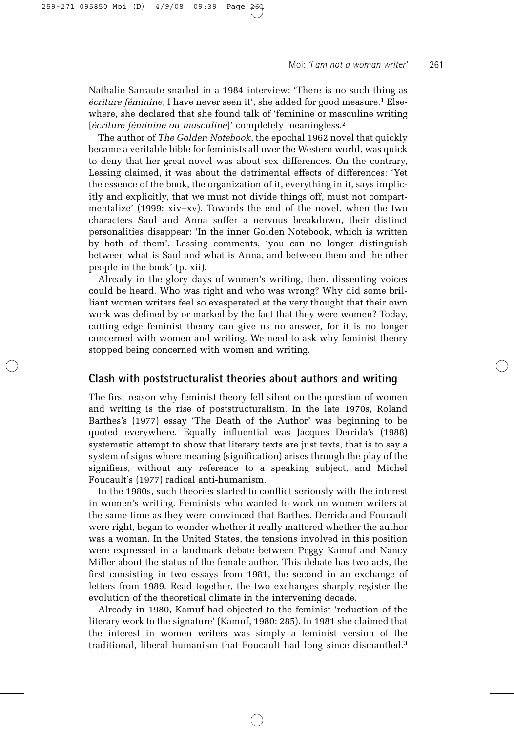Nathalie Sarraute snarled in a 1984 interview: 'There is no such thing as *écriture féminine*, I have never seen it', she added for good measure.<sup>1</sup> Elsewhere, she declared that she found talk of 'feminine or masculine writing [*écriture féminine ou masculine*]' completely meaningless.2

The author of *The Golden Notebook*, the epochal 1962 novel that quickly became a veritable bible for feminists all over the Western world, was quick to deny that her great novel was about sex differences. On the contrary, Lessing claimed, it was about the detrimental effects of differences: 'Yet the essence of the book, the organization of it, everything in it, says implicitly and explicitly, that we must not divide things off, must not compartmentalize' (1999: xiv–xv). Towards the end of the novel, when the two characters Saul and Anna suffer a nervous breakdown, their distinct personalities disappear: 'In the inner Golden Notebook, which is written by both of them', Lessing comments, 'you can no longer distinguish between what is Saul and what is Anna, and between them and the other people in the book' (p. xii).

Already in the glory days of women's writing, then, dissenting voices could be heard. Who was right and who was wrong? Why did some brilliant women writers feel so exasperated at the very thought that their own work was defined by or marked by the fact that they were women? Today, cutting edge feminist theory can give us no answer, for it is no longer concerned with women and writing. We need to ask why feminist theory stopped being concerned with women and writing.

# **Clash with poststructuralist theories about authors and writing**

The first reason why feminist theory fell silent on the question of women and writing is the rise of poststructuralism. In the late 1970s, Roland Barthes's (1977) essay 'The Death of the Author' was beginning to be quoted everywhere. Equally influential was Jacques Derrida's (1988) systematic attempt to show that literary texts are just texts, that is to say a system of signs where meaning (signification) arises through the play of the signifiers, without any reference to a speaking subject, and Michel Foucault's (1977) radical anti-humanism.

In the 1980s, such theories started to conflict seriously with the interest in women's writing. Feminists who wanted to work on women writers at the same time as they were convinced that Barthes, Derrida and Foucault were right, began to wonder whether it really mattered whether the author was a woman. In the United States, the tensions involved in this position were expressed in a landmark debate between Peggy Kamuf and Nancy Miller about the status of the female author. This debate has two acts, the first consisting in two essays from 1981, the second in an exchange of letters from 1989. Read together, the two exchanges sharply register the evolution of the theoretical climate in the intervening decade.

Already in 1980, Kamuf had objected to the feminist 'reduction of the literary work to the signature' (Kamuf, 1980: 285). In 1981 she claimed that the interest in women writers was simply a feminist version of the traditional, liberal humanism that Foucault had long since dismantled.3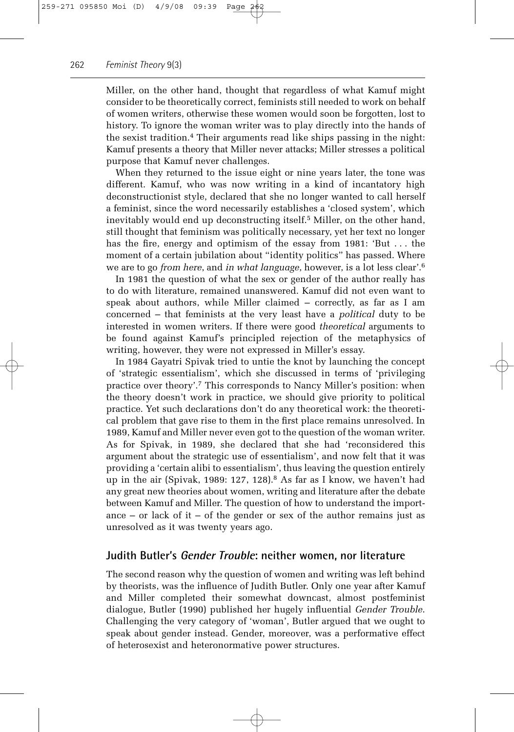Miller, on the other hand, thought that regardless of what Kamuf might consider to be theoretically correct, feminists still needed to work on behalf of women writers, otherwise these women would soon be forgotten, lost to history. To ignore the woman writer was to play directly into the hands of the sexist tradition.<sup>4</sup> Their arguments read like ships passing in the night: Kamuf presents a theory that Miller never attacks; Miller stresses a political purpose that Kamuf never challenges.

When they returned to the issue eight or nine years later, the tone was different. Kamuf, who was now writing in a kind of incantatory high deconstructionist style, declared that she no longer wanted to call herself a feminist, since the word necessarily establishes a 'closed system', which inevitably would end up deconstructing itself.5 Miller, on the other hand, still thought that feminism was politically necessary, yet her text no longer has the fire, energy and optimism of the essay from 1981: 'But ... the moment of a certain jubilation about "identity politics" has passed. Where we are to go *from here*, and *in what language*, however, is a lot less clear'.6

In 1981 the question of what the sex or gender of the author really has to do with literature, remained unanswered. Kamuf did not even want to speak about authors, while Miller claimed – correctly, as far as I am concerned – that feminists at the very least have a *political* duty to be interested in women writers. If there were good *theoretical* arguments to be found against Kamuf's principled rejection of the metaphysics of writing, however, they were not expressed in Miller's essay.

In 1984 Gayatri Spivak tried to untie the knot by launching the concept of 'strategic essentialism', which she discussed in terms of 'privileging practice over theory'.7 This corresponds to Nancy Miller's position: when the theory doesn't work in practice, we should give priority to political practice. Yet such declarations don't do any theoretical work: the theoretical problem that gave rise to them in the first place remains unresolved. In 1989, Kamuf and Miller never even got to the question of the woman writer. As for Spivak, in 1989, she declared that she had 'reconsidered this argument about the strategic use of essentialism', and now felt that it was providing a 'certain alibi to essentialism', thus leaving the question entirely up in the air (Spivak, 1989: 127, 128).8 As far as I know, we haven't had any great new theories about women, writing and literature after the debate between Kamuf and Miller. The question of how to understand the importance  $-$  or lack of it  $-$  of the gender or sex of the author remains just as unresolved as it was twenty years ago.

# **Judith Butler's Gender Trouble: neither women, nor literature**

The second reason why the question of women and writing was left behind by theorists, was the influence of Judith Butler. Only one year after Kamuf and Miller completed their somewhat downcast, almost postfeminist dialogue, Butler (1990) published her hugely influential *Gender Trouble*. Challenging the very category of 'woman', Butler argued that we ought to speak about gender instead. Gender, moreover, was a performative effect of heterosexist and heteronormative power structures.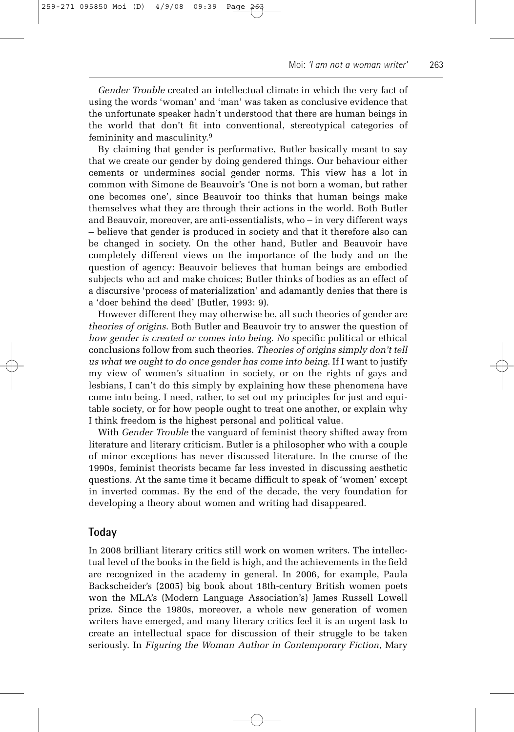*Gender Trouble* created an intellectual climate in which the very fact of using the words 'woman' and 'man' was taken as conclusive evidence that the unfortunate speaker hadn't understood that there are human beings in the world that don't fit into conventional, stereotypical categories of femininity and masculinity.9

By claiming that gender is performative, Butler basically meant to say that we create our gender by doing gendered things. Our behaviour either cements or undermines social gender norms. This view has a lot in common with Simone de Beauvoir's 'One is not born a woman, but rather one becomes one', since Beauvoir too thinks that human beings make themselves what they are through their actions in the world. Both Butler and Beauvoir, moreover, are anti-essentialists, who – in very different ways – believe that gender is produced in society and that it therefore also can be changed in society. On the other hand, Butler and Beauvoir have completely different views on the importance of the body and on the question of agency: Beauvoir believes that human beings are embodied subjects who act and make choices; Butler thinks of bodies as an effect of a discursive 'process of materialization' and adamantly denies that there is a 'doer behind the deed' (Butler, 1993: 9).

However different they may otherwise be, all such theories of gender are *theories of origins*. Both Butler and Beauvoir try to answer the question of *how gender is created or comes into being*. *No* specific political or ethical conclusions follow from such theories. *Theories of origins simply don't tell us what we ought to do once gender has come into being*. If I want to justify my view of women's situation in society, or on the rights of gays and lesbians, I can't do this simply by explaining how these phenomena have come into being. I need, rather, to set out my principles for just and equitable society, or for how people ought to treat one another, or explain why I think freedom is the highest personal and political value.

With *Gender Trouble* the vanguard of feminist theory shifted away from literature and literary criticism. Butler is a philosopher who with a couple of minor exceptions has never discussed literature. In the course of the 1990s, feminist theorists became far less invested in discussing aesthetic questions. At the same time it became difficult to speak of 'women' except in inverted commas. By the end of the decade, the very foundation for developing a theory about women and writing had disappeared.

# **Today**

In 2008 brilliant literary critics still work on women writers. The intellectual level of the books in the field is high, and the achievements in the field are recognized in the academy in general. In 2006, for example, Paula Backscheider's (2005) big book about 18th-century British women poets won the MLA's (Modern Language Association's) James Russell Lowell prize. Since the 1980s, moreover, a whole new generation of women writers have emerged, and many literary critics feel it is an urgent task to create an intellectual space for discussion of their struggle to be taken seriously. In *Figuring the Woman Author in Contemporary Fiction*, Mary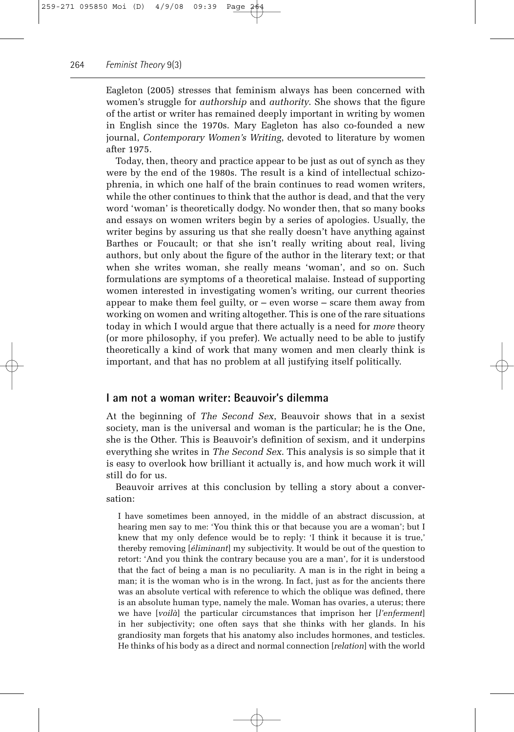Eagleton (2005) stresses that feminism always has been concerned with women's struggle for *authorship* and *authority*. She shows that the figure of the artist or writer has remained deeply important in writing by women in English since the 1970s. Mary Eagleton has also co-founded a new journal, *Contemporary Women's Writing*, devoted to literature by women after 1975.

Today, then, theory and practice appear to be just as out of synch as they were by the end of the 1980s. The result is a kind of intellectual schizophrenia, in which one half of the brain continues to read women writers, while the other continues to think that the author is dead, and that the very word 'woman' is theoretically dodgy. No wonder then, that so many books and essays on women writers begin by a series of apologies. Usually, the writer begins by assuring us that she really doesn't have anything against Barthes or Foucault; or that she isn't really writing about real, living authors, but only about the figure of the author in the literary text; or that when she writes woman, she really means 'woman', and so on. Such formulations are symptoms of a theoretical malaise. Instead of supporting women interested in investigating women's writing, our current theories appear to make them feel guilty, or – even worse – scare them away from working on women and writing altogether. This is one of the rare situations today in which I would argue that there actually is a need for *more* theory (or more philosophy, if you prefer). We actually need to be able to justify theoretically a kind of work that many women and men clearly think is important, and that has no problem at all justifying itself politically.

# **I am not a woman writer: Beauvoir's dilemma**

At the beginning of *The Second Sex*, Beauvoir shows that in a sexist society, man is the universal and woman is the particular; he is the One, she is the Other. This is Beauvoir's definition of sexism, and it underpins everything she writes in *The Second Sex*. This analysis is so simple that it is easy to overlook how brilliant it actually is, and how much work it will still do for us.

Beauvoir arrives at this conclusion by telling a story about a conversation:

I have sometimes been annoyed, in the middle of an abstract discussion, at hearing men say to me: 'You think this or that because you are a woman'; but I knew that my only defence would be to reply: 'I think it because it is true,' thereby removing [*éliminant*] my subjectivity. It would be out of the question to retort: 'And you think the contrary because you are a man', for it is understood that the fact of being a man is no peculiarity. A man is in the right in being a man; it is the woman who is in the wrong. In fact, just as for the ancients there was an absolute vertical with reference to which the oblique was defined, there is an absolute human type, namely the male. Woman has ovaries, a uterus; there we have [*voilà*] the particular circumstances that imprison her [*l'enferment*] in her subjectivity; one often says that she thinks with her glands. In his grandiosity man forgets that his anatomy also includes hormones, and testicles. He thinks of his body as a direct and normal connection [*relation*] with the world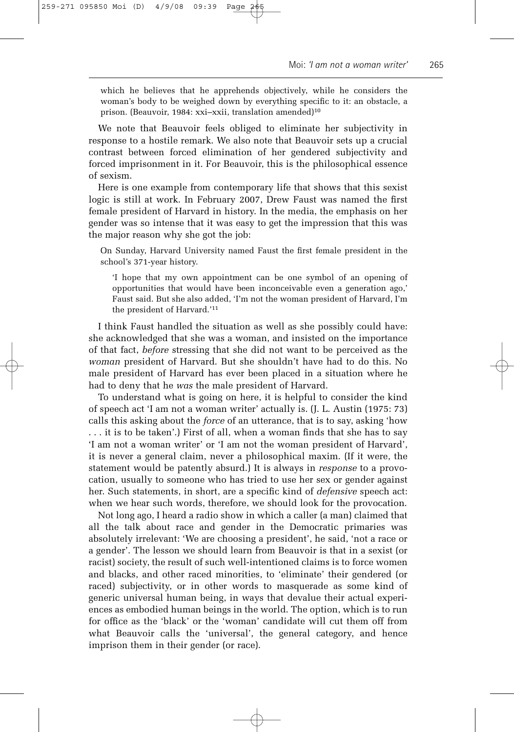which he believes that he apprehends objectively, while he considers the woman's body to be weighed down by everything specific to it: an obstacle, a prison. (Beauvoir, 1984: xxi–xxii, translation amended)10

We note that Beauvoir feels obliged to eliminate her subjectivity in response to a hostile remark. We also note that Beauvoir sets up a crucial contrast between forced elimination of her gendered subjectivity and forced imprisonment in it. For Beauvoir, this is the philosophical essence of sexism.

Here is one example from contemporary life that shows that this sexist logic is still at work. In February 2007, Drew Faust was named the first female president of Harvard in history. In the media, the emphasis on her gender was so intense that it was easy to get the impression that this was the major reason why she got the job:

On Sunday, Harvard University named Faust the first female president in the school's 371-year history.

'I hope that my own appointment can be one symbol of an opening of opportunities that would have been inconceivable even a generation ago,' Faust said. But she also added, 'I'm not the woman president of Harvard, I'm the president of Harvard.'11

I think Faust handled the situation as well as she possibly could have: she acknowledged that she was a woman, and insisted on the importance of that fact, *before* stressing that she did not want to be perceived as the *woman* president of Harvard. But she shouldn't have had to do this. No male president of Harvard has ever been placed in a situation where he had to deny that he *was* the male president of Harvard.

To understand what is going on here, it is helpful to consider the kind of speech act 'I am not a woman writer' actually is. (J. L. Austin (1975: 73) calls this asking about the *force* of an utterance, that is to say, asking 'how . . . it is to be taken'.) First of all, when a woman finds that she has to say 'I am not a woman writer' or 'I am not the woman president of Harvard', it is never a general claim, never a philosophical maxim. (If it were, the statement would be patently absurd.) It is always in *response* to a provocation, usually to someone who has tried to use her sex or gender against her. Such statements, in short, are a specific kind of *defensive* speech act: when we hear such words, therefore, we should look for the provocation.

Not long ago, I heard a radio show in which a caller (a man) claimed that all the talk about race and gender in the Democratic primaries was absolutely irrelevant: 'We are choosing a president', he said, 'not a race or a gender'. The lesson we should learn from Beauvoir is that in a sexist (or racist) society, the result of such well-intentioned claims is to force women and blacks, and other raced minorities, to 'eliminate' their gendered (or raced) subjectivity, or in other words to masquerade as some kind of generic universal human being, in ways that devalue their actual experiences as embodied human beings in the world. The option, which is to run for office as the 'black' or the 'woman' candidate will cut them off from what Beauvoir calls the 'universal', the general category, and hence imprison them in their gender (or race).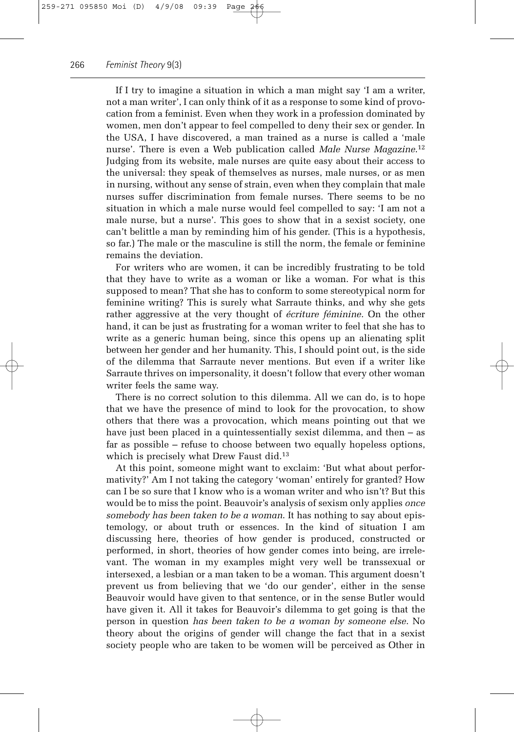If I try to imagine a situation in which a man might say 'I am a writer, not a man writer', I can only think of it as a response to some kind of provocation from a feminist. Even when they work in a profession dominated by women, men don't appear to feel compelled to deny their sex or gender. In the USA, I have discovered, a man trained as a nurse is called a 'male nurse'. There is even a Web publication called *Male Nurse Magazine*. 12 Judging from its website, male nurses are quite easy about their access to the universal: they speak of themselves as nurses, male nurses, or as men in nursing, without any sense of strain, even when they complain that male nurses suffer discrimination from female nurses. There seems to be no situation in which a male nurse would feel compelled to say: 'I am not a male nurse, but a nurse'. This goes to show that in a sexist society, one can't belittle a man by reminding him of his gender. (This is a hypothesis, so far.) The male or the masculine is still the norm, the female or feminine remains the deviation.

For writers who are women, it can be incredibly frustrating to be told that they have to write as a woman or like a woman. For what is this supposed to mean? That she has to conform to some stereotypical norm for feminine writing? This is surely what Sarraute thinks, and why she gets rather aggressive at the very thought of *écriture féminine*. On the other hand, it can be just as frustrating for a woman writer to feel that she has to write as a generic human being, since this opens up an alienating split between her gender and her humanity. This, I should point out, is the side of the dilemma that Sarraute never mentions. But even if a writer like Sarraute thrives on impersonality, it doesn't follow that every other woman writer feels the same way.

There is no correct solution to this dilemma. All we can do, is to hope that we have the presence of mind to look for the provocation, to show others that there was a provocation, which means pointing out that we have just been placed in a quintessentially sexist dilemma, and then – as far as possible – refuse to choose between two equally hopeless options, which is precisely what Drew Faust did.<sup>13</sup>

At this point, someone might want to exclaim: 'But what about performativity?' Am I not taking the category 'woman' entirely for granted? How can I be so sure that I know who is a woman writer and who isn't? But this would be to miss the point. Beauvoir's analysis of sexism only applies *once somebody has been taken to be a woman*. It has nothing to say about epistemology, or about truth or essences. In the kind of situation I am discussing here, theories of how gender is produced, constructed or performed, in short, theories of how gender comes into being, are irrelevant. The woman in my examples might very well be transsexual or intersexed, a lesbian or a man taken to be a woman. This argument doesn't prevent us from believing that we 'do our gender', either in the sense Beauvoir would have given to that sentence, or in the sense Butler would have given it. All it takes for Beauvoir's dilemma to get going is that the person in question *has been taken to be a woman by someone else*. No theory about the origins of gender will change the fact that in a sexist society people who are taken to be women will be perceived as Other in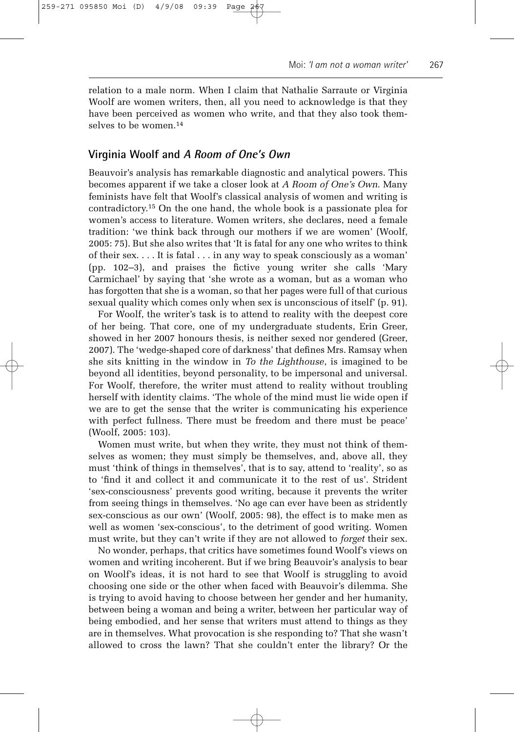relation to a male norm. When I claim that Nathalie Sarraute or Virginia Woolf are women writers, then, all you need to acknowledge is that they have been perceived as women who write, and that they also took themselves to be women.<sup>14</sup>

# **Virginia Woolf and A Room of One's Own**

Beauvoir's analysis has remarkable diagnostic and analytical powers. This becomes apparent if we take a closer look at *A Room of One's Own*. Many feminists have felt that Woolf's classical analysis of women and writing is contradictory.15 On the one hand, the whole book is a passionate plea for women's access to literature. Women writers, she declares, need a female tradition: 'we think back through our mothers if we are women' (Woolf, 2005: 75). But she also writes that 'It is fatal for any one who writes to think of their sex. . . . It is fatal . . . in any way to speak consciously as a woman' (pp. 102–3), and praises the fictive young writer she calls 'Mary Carmichael' by saying that 'she wrote as a woman, but as a woman who has forgotten that she is a woman, so that her pages were full of that curious sexual quality which comes only when sex is unconscious of itself' (p. 91).

For Woolf, the writer's task is to attend to reality with the deepest core of her being. That core, one of my undergraduate students, Erin Greer, showed in her 2007 honours thesis, is neither sexed nor gendered (Greer, 2007). The 'wedge-shaped core of darkness' that defines Mrs. Ramsay when she sits knitting in the window in *To the Lighthouse*, is imagined to be beyond all identities, beyond personality, to be impersonal and universal. For Woolf, therefore, the writer must attend to reality without troubling herself with identity claims. 'The whole of the mind must lie wide open if we are to get the sense that the writer is communicating his experience with perfect fullness. There must be freedom and there must be peace' (Woolf, 2005: 103).

Women must write, but when they write, they must not think of themselves as women; they must simply be themselves, and, above all, they must 'think of things in themselves', that is to say, attend to 'reality', so as to 'find it and collect it and communicate it to the rest of us'. Strident 'sex-consciousness' prevents good writing, because it prevents the writer from seeing things in themselves. 'No age can ever have been as stridently sex-conscious as our own' (Woolf, 2005: 98), the effect is to make men as well as women 'sex-conscious', to the detriment of good writing. Women must write, but they can't write if they are not allowed to *forget* their sex.

No wonder, perhaps, that critics have sometimes found Woolf's views on women and writing incoherent. But if we bring Beauvoir's analysis to bear on Woolf's ideas, it is not hard to see that Woolf is struggling to avoid choosing one side or the other when faced with Beauvoir's dilemma. She is trying to avoid having to choose between her gender and her humanity, between being a woman and being a writer, between her particular way of being embodied, and her sense that writers must attend to things as they are in themselves. What provocation is she responding to? That she wasn't allowed to cross the lawn? That she couldn't enter the library? Or the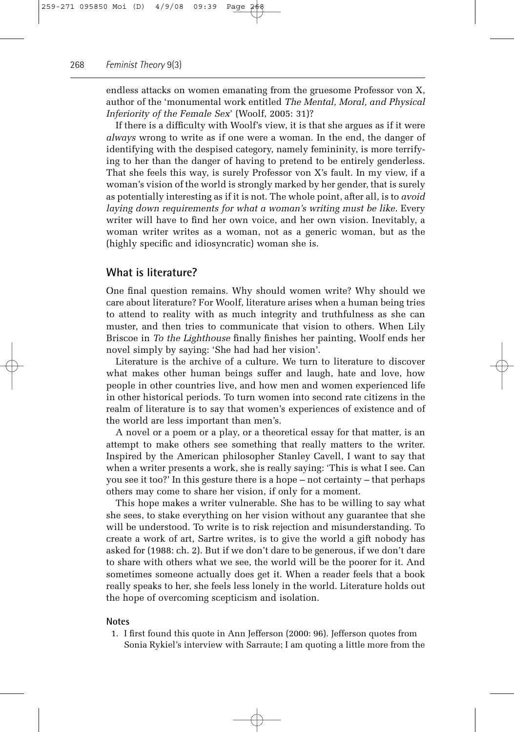endless attacks on women emanating from the gruesome Professor von X, author of the 'monumental work entitled *The Mental, Moral, and Physical Inferiority of the Female Sex*' (Woolf, 2005: 31)?

If there is a difficulty with Woolf's view, it is that she argues as if it were *always* wrong to write as if one were a woman. In the end, the danger of identifying with the despised category, namely femininity, is more terrifying to her than the danger of having to pretend to be entirely genderless. That she feels this way, is surely Professor von X's fault. In my view, if a woman's vision of the world is strongly marked by her gender, that is surely as potentially interesting as if it is not. The whole point, after all, is to *avoid laying down requirements for what a woman's writing must be like*. Every writer will have to find her own voice, and her own vision. Inevitably, a woman writer writes as a woman, not as a generic woman, but as the (highly specific and idiosyncratic) woman she is.

# **What is literature?**

One final question remains. Why should women write? Why should we care about literature? For Woolf, literature arises when a human being tries to attend to reality with as much integrity and truthfulness as she can muster, and then tries to communicate that vision to others. When Lily Briscoe in *To the Lighthouse* finally finishes her painting, Woolf ends her novel simply by saying: 'She had had her vision'.

Literature is the archive of a culture. We turn to literature to discover what makes other human beings suffer and laugh, hate and love, how people in other countries live, and how men and women experienced life in other historical periods. To turn women into second rate citizens in the realm of literature is to say that women's experiences of existence and of the world are less important than men's.

A novel or a poem or a play, or a theoretical essay for that matter, is an attempt to make others see something that really matters to the writer. Inspired by the American philosopher Stanley Cavell, I want to say that when a writer presents a work, she is really saying: 'This is what I see. Can you see it too?' In this gesture there is a hope – not certainty – that perhaps others may come to share her vision, if only for a moment.

This hope makes a writer vulnerable. She has to be willing to say what she sees, to stake everything on her vision without any guarantee that she will be understood. To write is to risk rejection and misunderstanding. To create a work of art, Sartre writes, is to give the world a gift nobody has asked for (1988: ch. 2). But if we don't dare to be generous, if we don't dare to share with others what we see, the world will be the poorer for it. And sometimes someone actually does get it. When a reader feels that a book really speaks to her, she feels less lonely in the world. Literature holds out the hope of overcoming scepticism and isolation.

#### **Notes**

1. I first found this quote in Ann Jefferson (2000: 96). Jefferson quotes from Sonia Rykiel's interview with Sarraute; I am quoting a little more from the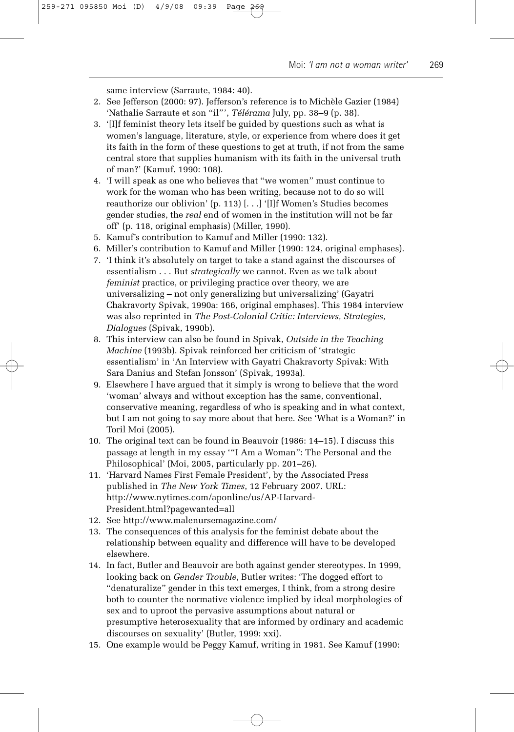same interview (Sarraute, 1984: 40).

- 2. See Jefferson (2000: 97). Jefferson's reference is to Michèle Gazier (1984) 'Nathalie Sarraute et son "il"', *Télérama* July, pp. 38–9 (p. 38).
- 3. '[I]f feminist theory lets itself be guided by questions such as what is women's language, literature, style, or experience from where does it get its faith in the form of these questions to get at truth, if not from the same central store that supplies humanism with its faith in the universal truth of man?' (Kamuf, 1990: 108).
- 4. 'I will speak as one who believes that "we women" must continue to work for the woman who has been writing, because not to do so will reauthorize our oblivion' (p. 113) [. . .] '[I]f Women's Studies becomes gender studies, the *real* end of women in the institution will not be far off' (p. 118, original emphasis) (Miller, 1990).
- 5. Kamuf's contribution to Kamuf and Miller (1990: 132).
- 6. Miller's contribution to Kamuf and Miller (1990: 124, original emphases).
- 7. 'I think it's absolutely on target to take a stand against the discourses of essentialism . . . But *strategically* we cannot. Even as we talk about *feminist* practice, or privileging practice over theory, we are universalizing – not only generalizing but universalizing' (Gayatri Chakravorty Spivak, 1990a: 166, original emphases). This 1984 interview was also reprinted in *The Post-Colonial Critic: Interviews, Strategies, Dialogues* (Spivak, 1990b).
- 8. This interview can also be found in Spivak, *Outside in the Teaching Machine* (1993b). Spivak reinforced her criticism of 'strategic essentialism' in 'An Interview with Gayatri Chakravorty Spivak: With Sara Danius and Stefan Jonsson' (Spivak, 1993a).
- 9. Elsewhere I have argued that it simply is wrong to believe that the word 'woman' always and without exception has the same, conventional, conservative meaning, regardless of who is speaking and in what context, but I am not going to say more about that here. See 'What is a Woman?' in Toril Moi (2005).
- 10. The original text can be found in Beauvoir (1986: 14–15). I discuss this passage at length in my essay '"I Am a Woman": The Personal and the Philosophical' (Moi, 2005, particularly pp. 201–26).
- 11. 'Harvard Names First Female President', by the Associated Press published in *The New York Times*, 12 February 2007. URL: http://www.nytimes.com/aponline/us/AP-Harvard-President.html?pagewanted=all
- 12. See http://www.malenursemagazine.com/
- 13. The consequences of this analysis for the feminist debate about the relationship between equality and difference will have to be developed elsewhere.
- 14. In fact, Butler and Beauvoir are both against gender stereotypes. In 1999, looking back on *Gender Trouble*, Butler writes: 'The dogged effort to "denaturalize" gender in this text emerges, I think, from a strong desire both to counter the normative violence implied by ideal morphologies of sex and to uproot the pervasive assumptions about natural or presumptive heterosexuality that are informed by ordinary and academic discourses on sexuality' (Butler, 1999: xxi).
- 15. One example would be Peggy Kamuf, writing in 1981. See Kamuf (1990: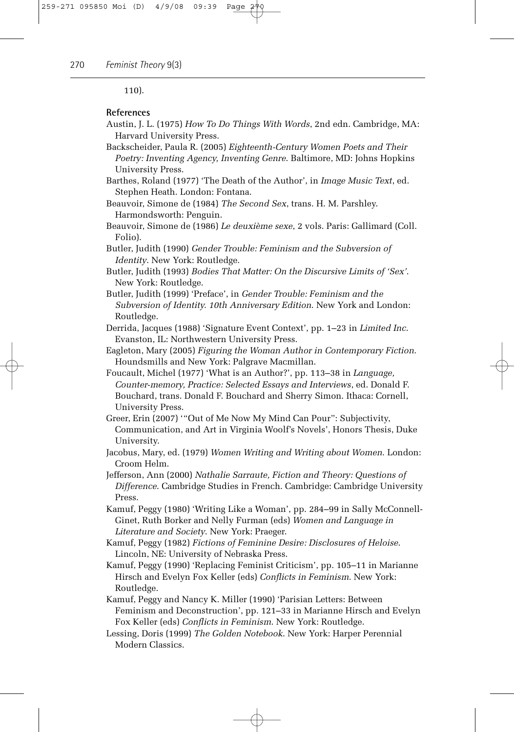# 110).

#### **References**

- Austin, J. L. (1975) *How To Do Things With Words*, 2nd edn. Cambridge, MA: Harvard University Press.
- Backscheider, Paula R. (2005) *Eighteenth-Century Women Poets and Their Poetry: Inventing Agency, Inventing Genre*. Baltimore, MD: Johns Hopkins University Press.
- Barthes, Roland (1977) 'The Death of the Author', in *Image Music Text*, ed. Stephen Heath. London: Fontana.
- Beauvoir, Simone de (1984) *The Second Sex*, trans. H. M. Parshley. Harmondsworth: Penguin.
- Beauvoir, Simone de (1986) *Le deuxième sexe*, 2 vols. Paris: Gallimard (Coll. Folio).
- Butler, Judith (1990) *Gender Trouble: Feminism and the Subversion of Identity*. New York: Routledge.
- Butler, Judith (1993) *Bodies That Matter: On the Discursive Limits of 'Sex'*. New York: Routledge.
- Butler, Judith (1999) 'Preface', in *Gender Trouble: Feminism and the Subversion of Identity. 10th Anniversary Edition*. New York and London: Routledge.
- Derrida, Jacques (1988) 'Signature Event Context', pp. 1–23 in *Limited Inc*. Evanston, IL: Northwestern University Press.
- Eagleton, Mary (2005) *Figuring the Woman Author in Contemporary Fiction*. Houndsmills and New York: Palgrave Macmillan.
- Foucault, Michel (1977) 'What is an Author?', pp. 113–38 in *Language, Counter-memory, Practice: Selected Essays and Interviews*, ed. Donald F. Bouchard, trans. Donald F. Bouchard and Sherry Simon. Ithaca: Cornell, University Press.
- Greer, Erin (2007) '"Out of Me Now My Mind Can Pour": Subjectivity, Communication, and Art in Virginia Woolf's Novels', Honors Thesis, Duke University.
- Jacobus, Mary, ed. (1979) *Women Writing and Writing about Women*. London: Croom Helm.
- Jefferson, Ann (2000) *Nathalie Sarraute, Fiction and Theory: Questions of Difference*. Cambridge Studies in French. Cambridge: Cambridge University Press.
- Kamuf, Peggy (1980) 'Writing Like a Woman', pp. 284–99 in Sally McConnell-Ginet, Ruth Borker and Nelly Furman (eds) *Women and Language in Literature and Society*. New York: Praeger.
- Kamuf, Peggy (1982) *Fictions of Feminine Desire: Disclosures of Heloise*. Lincoln, NE: University of Nebraska Press.
- Kamuf, Peggy (1990) 'Replacing Feminist Criticism', pp. 105–11 in Marianne Hirsch and Evelyn Fox Keller (eds) *Conflicts in Feminism*. New York: Routledge.
- Kamuf, Peggy and Nancy K. Miller (1990) 'Parisian Letters: Between Feminism and Deconstruction', pp. 121–33 in Marianne Hirsch and Evelyn Fox Keller (eds) *Conflicts in Feminism*. New York: Routledge.
- Lessing, Doris (1999) *The Golden Notebook*. New York: Harper Perennial Modern Classics.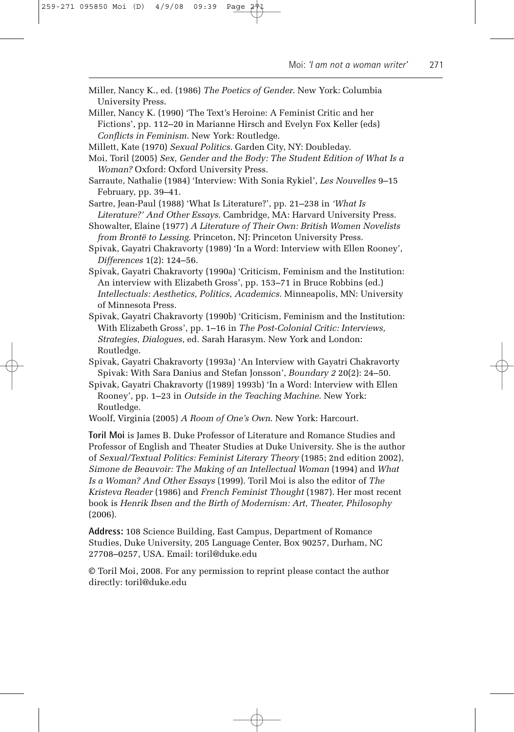| Miller, Nancy K., ed. (1986) The Poetics of Gender. New York: Columbia |  |  |
|------------------------------------------------------------------------|--|--|
| University Press.                                                      |  |  |

Miller, Nancy K. (1990) 'The Text's Heroine: A Feminist Critic and her Fictions', pp. 112–20 in Marianne Hirsch and Evelyn Fox Keller (eds) *Conflicts in Feminism*. New York: Routledge.

Millett, Kate (1970) *Sexual Politics*. Garden City, NY: Doubleday.

Moi, Toril (2005) *Sex, Gender and the Body: The Student Edition of What Is a Woman?* Oxford: Oxford University Press.

Sarraute, Nathalie (1984) 'Interview: With Sonia Rykiel', *Les Nouvelles* 9–15 February, pp. 39–41.

Sartre, Jean-Paul (1988) 'What Is Literature?', pp. 21–238 in *'What Is Literature?' And Other Essays*. Cambridge, MA: Harvard University Press.

Showalter, Elaine (1977) *A Literature of Their Own: British Women Novelists from Brontë to Lessing*. Princeton, NJ: Princeton University Press.

Spivak, Gayatri Chakravorty (1989) 'In a Word: Interview with Ellen Rooney', *Differences* 1(2): 124–56.

- Spivak, Gayatri Chakravorty (1990a) 'Criticism, Feminism and the Institution: An interview with Elizabeth Gross', pp. 153–71 in Bruce Robbins (ed.) *Intellectuals: Aesthetics, Politics, Academics*. Minneapolis, MN: University of Minnesota Press.
- Spivak, Gayatri Chakravorty (1990b) 'Criticism, Feminism and the Institution: With Elizabeth Gross', pp. 1–16 in *The Post-Colonial Critic: Interviews, Strategies, Dialogues*, ed. Sarah Harasym. New York and London: Routledge.
- Spivak, Gayatri Chakravorty (1993a) 'An Interview with Gayatri Chakravorty Spivak: With Sara Danius and Stefan Jonsson', *Boundary 2* 20(2): 24–50.
- Spivak, Gayatri Chakravorty ([1989] 1993b) 'In a Word: Interview with Ellen Rooney', pp. 1–23 in *Outside in the Teaching Machine*. New York: Routledge.

Woolf, Virginia (2005) *A Room of One's Own*. New York: Harcourt.

**Toril Moi** is James B. Duke Professor of Literature and Romance Studies and Professor of English and Theater Studies at Duke University. She is the author of *Sexual/Textual Politics: Feminist Literary Theory* (1985; 2nd edition 2002), *Simone de Beauvoir: The Making of an Intellectual Woman* (1994) and *What Is a Woman? And Other Essays* (1999). Toril Moi is also the editor of *The Kristeva Reader* (1986) and *French Feminist Thought* (1987). Her most recent book is *Henrik Ibsen and the Birth of Modernism: Art, Theater, Philosophy* (2006).

**Address:** 108 Science Building, East Campus, Department of Romance Studies, Duke University, 205 Language Center, Box 90257, Durham, NC 27708–0257, USA. Email: toril@duke.edu

© Toril Moi, 2008. For any permission to reprint please contact the author directly: toril@duke.edu